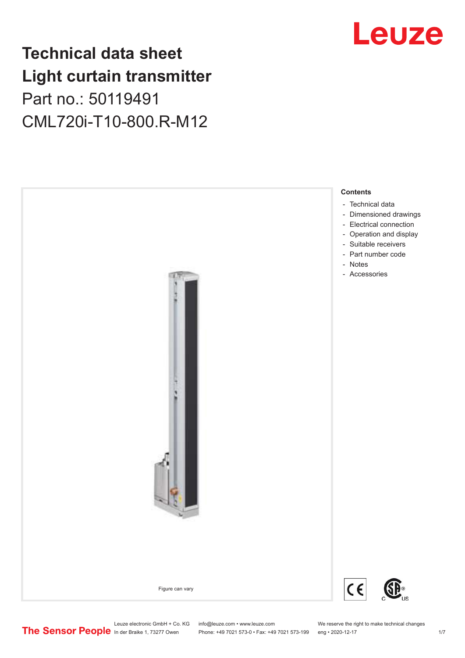## **Technical data sheet Light curtain transmitter** Part no.: 50119491 CML720i-T10-800.R-M12





Phone: +49 7021 573-0 • Fax: +49 7021 573-199 eng • 2020-12-17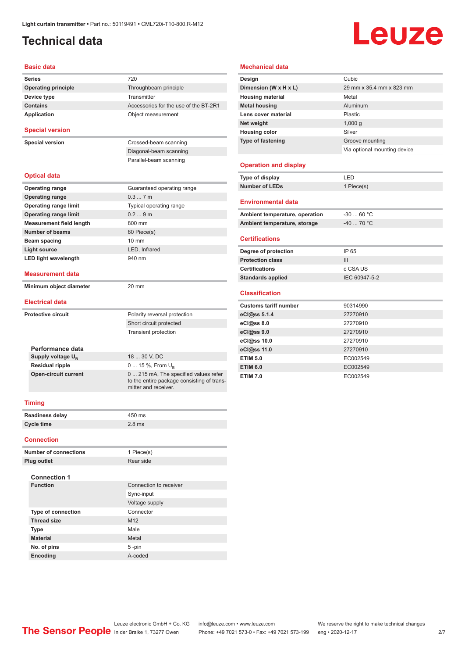## <span id="page-1-0"></span>**Technical data**

# Leuze

#### **Basic data**

| Series                          | 720                                                                                                         |  |  |
|---------------------------------|-------------------------------------------------------------------------------------------------------------|--|--|
| <b>Operating principle</b>      | Throughbeam principle                                                                                       |  |  |
| Device type                     | Transmitter                                                                                                 |  |  |
| <b>Contains</b>                 | Accessories for the use of the BT-2R1                                                                       |  |  |
| <b>Application</b>              | Object measurement                                                                                          |  |  |
| <b>Special version</b>          |                                                                                                             |  |  |
| <b>Special version</b>          | Crossed-beam scanning                                                                                       |  |  |
|                                 | Diagonal-beam scanning                                                                                      |  |  |
|                                 | Parallel-beam scanning                                                                                      |  |  |
| <b>Optical data</b>             |                                                                                                             |  |  |
| <b>Operating range</b>          | Guaranteed operating range                                                                                  |  |  |
| <b>Operating range</b>          | 0.37m                                                                                                       |  |  |
| <b>Operating range limit</b>    | Typical operating range                                                                                     |  |  |
| <b>Operating range limit</b>    | 0.29m                                                                                                       |  |  |
| <b>Measurement field length</b> | 800 mm                                                                                                      |  |  |
| <b>Number of beams</b>          | 80 Piece(s)                                                                                                 |  |  |
| Beam spacing                    | 10 mm                                                                                                       |  |  |
| Light source                    | LED, Infrared                                                                                               |  |  |
| <b>LED light wavelength</b>     | 940 nm                                                                                                      |  |  |
| <b>Measurement data</b>         |                                                                                                             |  |  |
| Minimum object diameter         | 20 mm                                                                                                       |  |  |
| <b>Electrical data</b>          |                                                                                                             |  |  |
| <b>Protective circuit</b>       | Polarity reversal protection                                                                                |  |  |
|                                 | Short circuit protected                                                                                     |  |  |
|                                 | <b>Transient protection</b>                                                                                 |  |  |
| Performance data                |                                                                                                             |  |  |
| Supply voltage U <sub>B</sub>   | 18  30 V, DC                                                                                                |  |  |
| <b>Residual ripple</b>          | 0  15 %, From $U_{\rm B}$                                                                                   |  |  |
| <b>Open-circuit current</b>     | 0  215 mA, The specified values refer<br>to the entire package consisting of trans-<br>mitter and receiver. |  |  |
| <b>Timing</b>                   |                                                                                                             |  |  |
| <b>Readiness delay</b>          | 450 ms                                                                                                      |  |  |
| <b>Cycle time</b>               | $2.8$ ms                                                                                                    |  |  |
| <b>Connection</b>               |                                                                                                             |  |  |

| <b>Number of connections</b> | 1 Piece(s)             |
|------------------------------|------------------------|
| <b>Plug outlet</b>           | Rear side              |
|                              |                        |
| <b>Connection 1</b>          |                        |
| <b>Function</b>              | Connection to receiver |
|                              | Sync-input             |
|                              | Voltage supply         |
| <b>Type of connection</b>    | Connector              |
| <b>Thread size</b>           | M <sub>12</sub>        |
| <b>Type</b>                  | Male                   |
| <b>Material</b>              | Metal                  |
| No. of pins                  | $5 - pin$              |
| <b>Encoding</b>              | A-coded                |

#### **Mechanical data**

| Design                         | Cubic                        |
|--------------------------------|------------------------------|
| Dimension (W x H x L)          | 29 mm x 35.4 mm x 823 mm     |
| <b>Housing material</b>        | Metal                        |
| <b>Metal housing</b>           | Aluminum                     |
| Lens cover material            | <b>Plastic</b>               |
| Net weight                     | 1,000q                       |
| <b>Housing color</b>           | Silver                       |
| Type of fastening              | Groove mounting              |
|                                | Via optional mounting device |
| <b>Operation and display</b>   |                              |
| Type of display                | LED                          |
| <b>Number of LEDs</b>          | 1 Piece(s)                   |
| <b>Environmental data</b>      |                              |
| Ambient temperature, operation | $-30$ 60 °C                  |
| Ambient temperature, storage   | $-40$ 70 °C                  |
| <b>Certifications</b>          |                              |

| Degree of protection     | IP 65         |
|--------------------------|---------------|
| <b>Protection class</b>  | Ш             |
| <b>Certifications</b>    | c CSA US      |
| <b>Standards applied</b> | IEC 60947-5-2 |
|                          |               |

#### **Classification**

| <b>Customs tariff number</b> | 90314990 |
|------------------------------|----------|
| eCl@ss 5.1.4                 | 27270910 |
| eCl@ss 8.0                   | 27270910 |
| eCl@ss 9.0                   | 27270910 |
| eCl@ss 10.0                  | 27270910 |
| eCl@ss 11.0                  | 27270910 |
| <b>ETIM 5.0</b>              | EC002549 |
| <b>ETIM 6.0</b>              | EC002549 |
| <b>ETIM 7.0</b>              | EC002549 |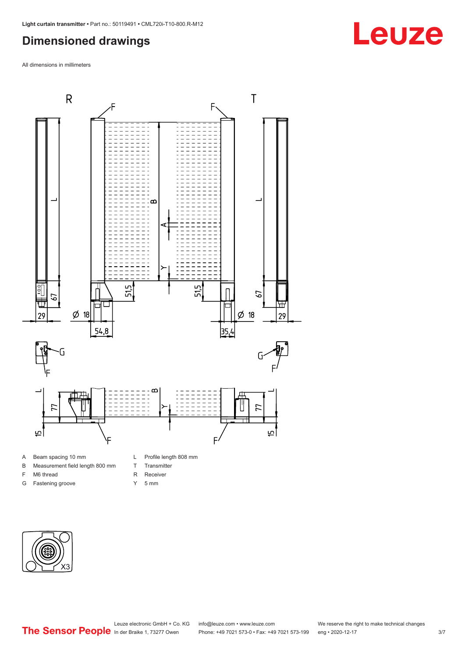### <span id="page-2-0"></span>**Dimensioned drawings**

All dimensions in millimeters



B Measurement field length 800 mm

F M6 thread G Fastening groove

- T Transmitter
- R Receiver
- Y 5 mm





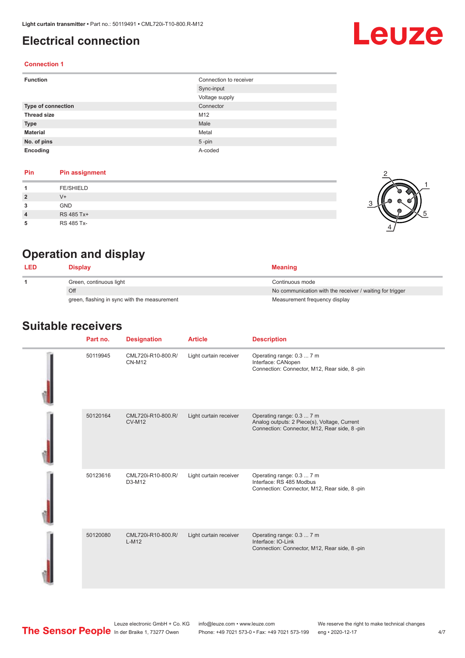#### <span id="page-3-0"></span>**Electrical connection**

## Leuze

2

1

5

#### **Connection 1**

| <b>Function</b>           | Connection to receiver |
|---------------------------|------------------------|
|                           | Sync-input             |
|                           | Voltage supply         |
| <b>Type of connection</b> | Connector              |
| <b>Thread size</b>        | M12                    |
| <b>Type</b>               | Male                   |
| <b>Material</b>           | Metal                  |
| No. of pins               | $5$ -pin               |
| Encoding                  | A-coded                |

#### **Pin Pin assignment**

|                | <b>FE/SHIELD</b> |   |
|----------------|------------------|---|
| $\overline{2}$ | $V +$            | G |
| 3              | GND              |   |
| $\overline{4}$ | RS 485 Tx+       |   |
| 5              | RS 485 Tx-       |   |

## **Operation and display**

| <b>LED</b> | Display                                      | <b>Meaning</b>                                           |
|------------|----------------------------------------------|----------------------------------------------------------|
|            | Green, continuous light                      | Continuous mode                                          |
|            | Off                                          | No communication with the receiver / waiting for trigger |
|            | green, flashing in sync with the measurement | Measurement frequency display                            |

#### **Suitable receivers**

| Part no. | <b>Designation</b>                  | <b>Article</b>         | <b>Description</b>                                                                                                        |
|----------|-------------------------------------|------------------------|---------------------------------------------------------------------------------------------------------------------------|
| 50119945 | CML720i-R10-800.R/<br><b>CN-M12</b> | Light curtain receiver | Operating range: 0.3  7 m<br>Interface: CANopen<br>Connection: Connector, M12, Rear side, 8-pin                           |
| 50120164 | CML720i-R10-800.R/<br><b>CV-M12</b> | Light curtain receiver | Operating range: 0.3  7 m<br>Analog outputs: 2 Piece(s), Voltage, Current<br>Connection: Connector, M12, Rear side, 8-pin |
| 50123616 | CML720i-R10-800.R/<br>D3-M12        | Light curtain receiver | Operating range: 0.3  7 m<br>Interface: RS 485 Modbus<br>Connection: Connector, M12, Rear side, 8-pin                     |
| 50120080 | CML720i-R10-800.R/<br>$L-M12$       | Light curtain receiver | Operating range: 0.3  7 m<br>Interface: IO-Link<br>Connection: Connector, M12, Rear side, 8-pin                           |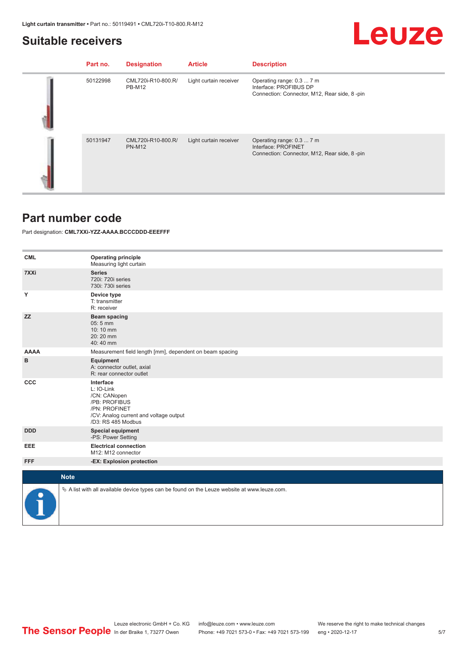### <span id="page-4-0"></span>**Suitable receivers**

| Part no. | <b>Designation</b>                  | <b>Article</b>         | <b>Description</b>                                                                                  |
|----------|-------------------------------------|------------------------|-----------------------------------------------------------------------------------------------------|
| 50122998 | CML720i-R10-800.R/<br><b>PB-M12</b> | Light curtain receiver | Operating range: 0.3  7 m<br>Interface: PROFIBUS DP<br>Connection: Connector, M12, Rear side, 8-pin |
| 50131947 | CML720i-R10-800.R/<br><b>PN-M12</b> | Light curtain receiver | Operating range: 0.3  7 m<br>Interface: PROFINET<br>Connection: Connector, M12, Rear side, 8-pin    |

#### **Part number code**

Part designation: **CML7XXi-YZZ-AAAA.BCCCDDD-EEEFFF**

| <b>CML</b>  | <b>Operating principle</b><br>Measuring light curtain                                                                                     |
|-------------|-------------------------------------------------------------------------------------------------------------------------------------------|
| 7XXi        | <b>Series</b><br>720i: 720i series<br>730i: 730i series                                                                                   |
| Υ           | Device type<br>T: transmitter<br>R: receiver                                                                                              |
| <b>ZZ</b>   | <b>Beam spacing</b><br>$05:5$ mm<br>10:10 mm<br>20:20 mm<br>40:40 mm                                                                      |
| <b>AAAA</b> | Measurement field length [mm], dependent on beam spacing                                                                                  |
| B           | Equipment<br>A: connector outlet, axial<br>R: rear connector outlet                                                                       |
| CCC         | Interface<br>L: IO-Link<br>/CN: CANopen<br>/PB: PROFIBUS<br>/PN: PROFINET<br>/CV: Analog current and voltage output<br>/D3: RS 485 Modbus |
| <b>DDD</b>  | <b>Special equipment</b><br>-PS: Power Setting                                                                                            |
| EEE         | <b>Electrical connection</b><br>M12: M12 connector                                                                                        |
| <b>FFF</b>  | -EX: Explosion protection                                                                                                                 |
| <b>Note</b> |                                                                                                                                           |
|             |                                                                                                                                           |
|             | $\&$ A list with all available device types can be found on the Leuze website at www.leuze.com.                                           |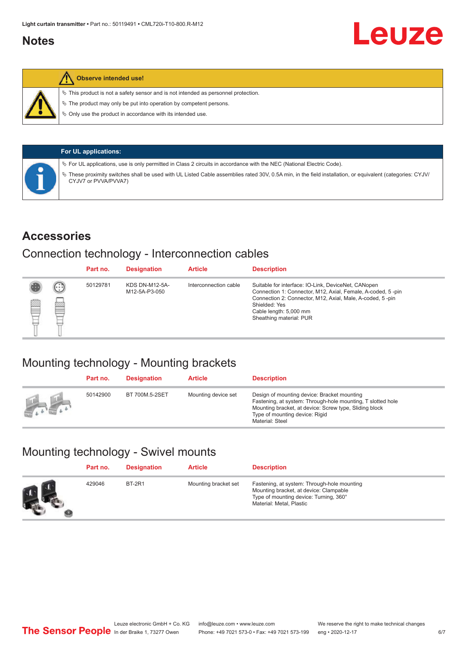#### <span id="page-5-0"></span>**Notes**



#### **Observe intended use!**

 $\%$  This product is not a safety sensor and is not intended as personnel protection.

 $\%$  The product may only be put into operation by competent persons.

 $\%$  Only use the product in accordance with its intended use.

|  | <b>For UL applications:</b>                                                                                                                                                     |
|--|---------------------------------------------------------------------------------------------------------------------------------------------------------------------------------|
|  | $\%$ For UL applications, use is only permitted in Class 2 circuits in accordance with the NEC (National Electric Code).                                                        |
|  | These proximity switches shall be used with UL Listed Cable assemblies rated 30V, 0.5A min, in the field installation, or equivalent (categories: CYJV/<br>CYJV7 or PVVA/PVVA7) |

#### **Accessories**

#### Connection technology - Interconnection cables

|   |              | Part no. | <b>Designation</b>                     | <b>Article</b>        | <b>Description</b>                                                                                                                                                                                                                                    |
|---|--------------|----------|----------------------------------------|-----------------------|-------------------------------------------------------------------------------------------------------------------------------------------------------------------------------------------------------------------------------------------------------|
| Ø | $\odot$<br>p | 50129781 | <b>KDS DN-M12-5A-</b><br>M12-5A-P3-050 | Interconnection cable | Suitable for interface: IO-Link, DeviceNet, CANopen<br>Connection 1: Connector, M12, Axial, Female, A-coded, 5-pin<br>Connection 2: Connector, M12, Axial, Male, A-coded, 5-pin<br>Shielded: Yes<br>Cable length: 5,000 mm<br>Sheathing material: PUR |

### Mounting technology - Mounting brackets

|               | Part no. | <b>Designation</b> | <b>Article</b>      | <b>Description</b>                                                                                                                                                                                                        |
|---------------|----------|--------------------|---------------------|---------------------------------------------------------------------------------------------------------------------------------------------------------------------------------------------------------------------------|
| <b>Altres</b> | 50142900 | BT 700M.5-2SET     | Mounting device set | Design of mounting device: Bracket mounting<br>Fastening, at system: Through-hole mounting, T slotted hole<br>Mounting bracket, at device: Screw type, Sliding block<br>Type of mounting device: Rigid<br>Material: Steel |

## Mounting technology - Swivel mounts

| Part no. | <b>Designation</b> | <b>Article</b>       | <b>Description</b>                                                                                                                                          |
|----------|--------------------|----------------------|-------------------------------------------------------------------------------------------------------------------------------------------------------------|
| 429046   | <b>BT-2R1</b>      | Mounting bracket set | Fastening, at system: Through-hole mounting<br>Mounting bracket, at device: Clampable<br>Type of mounting device: Turning, 360°<br>Material: Metal, Plastic |

Leuze